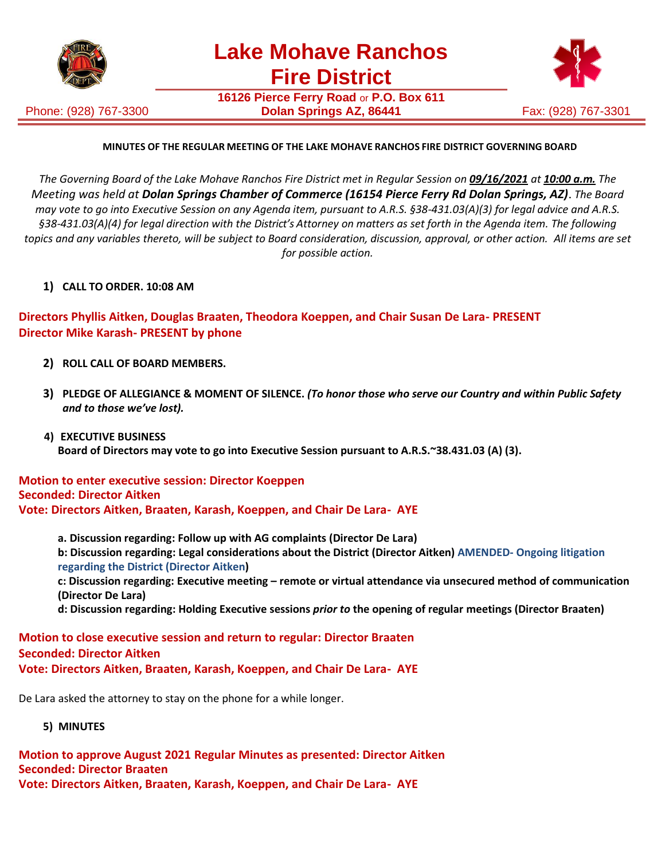

Phone: (928) 767-3300

**16126 Pierce Ferry Road** or **P.O. Box 611 Dolan Springs AZ, 86441 Fax: (928) 767-3301** 



## **MINUTES OF THE REGULAR MEETING OF THE LAKE MOHAVE RANCHOS FIRE DISTRICT GOVERNING BOARD**

The Governing Board of the Lake Mohave Ranchos Fire District met in Regular Session on 09/16/2021 at 10:00 a.m. The *Meeting was held at Dolan Springs Chamber of Commerce (16154 Pierce Ferry Rd Dolan Springs, AZ)*. *The Board may vote to go into Executive Session on any Agenda item, pursuant to A.R.S. §38-431.03(A)(3) for legal advice and A.R.S. §38-431.03(A)(4) for legal direction with the District's Attorney on matters as set forth in the Agenda item. The following topics and any variables thereto, will be subject to Board consideration, discussion, approval, or other action. All items are set for possible action.*

**1) CALL TO ORDER. 10:08 AM**

**Directors Phyllis Aitken, Douglas Braaten, Theodora Koeppen, and Chair Susan De Lara- PRESENT Director Mike Karash- PRESENT by phone**

- **2) ROLL CALL OF BOARD MEMBERS.**
- **3) PLEDGE OF ALLEGIANCE & MOMENT OF SILENCE.** *(To honor those who serve our Country and within Public Safety and to those we've lost).*
- **4) EXECUTIVE BUSINESS Board of Directors may vote to go into Executive Session pursuant to A.R.S.~38.431.03 (A) (3).**

**Motion to enter executive session: Director Koeppen Seconded: Director Aitken Vote: Directors Aitken, Braaten, Karash, Koeppen, and Chair De Lara- AYE**

**a. Discussion regarding: Follow up with AG complaints (Director De Lara) b: Discussion regarding: Legal considerations about the District (Director Aitken) AMENDED- Ongoing litigation regarding the District (Director Aitken) c: Discussion regarding: Executive meeting – remote or virtual attendance via unsecured method of communication (Director De Lara)**

**d: Discussion regarding: Holding Executive sessions** *prior to* **the opening of regular meetings (Director Braaten)**

**Motion to close executive session and return to regular: Director Braaten Seconded: Director Aitken Vote: Directors Aitken, Braaten, Karash, Koeppen, and Chair De Lara- AYE**

De Lara asked the attorney to stay on the phone for a while longer.

## **5) MINUTES**

**Motion to approve August 2021 Regular Minutes as presented: Director Aitken Seconded: Director Braaten Vote: Directors Aitken, Braaten, Karash, Koeppen, and Chair De Lara- AYE**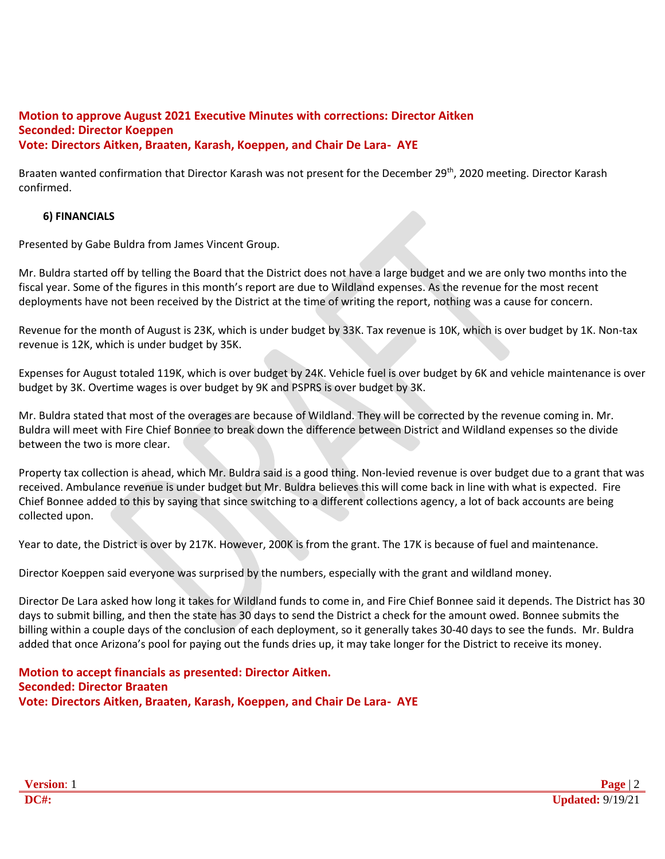#### **Motion to approve August 2021 Executive Minutes with corrections: Director Aitken Seconded: Director Koeppen Vote: Directors Aitken, Braaten, Karash, Koeppen, and Chair De Lara- AYE**

Braaten wanted confirmation that Director Karash was not present for the December 29<sup>th</sup>, 2020 meeting. Director Karash confirmed.

## **6) FINANCIALS**

Presented by Gabe Buldra from James Vincent Group.

Mr. Buldra started off by telling the Board that the District does not have a large budget and we are only two months into the fiscal year. Some of the figures in this month's report are due to Wildland expenses. As the revenue for the most recent deployments have not been received by the District at the time of writing the report, nothing was a cause for concern.

Revenue for the month of August is 23K, which is under budget by 33K. Tax revenue is 10K, which is over budget by 1K. Non-tax revenue is 12K, which is under budget by 35K.

Expenses for August totaled 119K, which is over budget by 24K. Vehicle fuel is over budget by 6K and vehicle maintenance is over budget by 3K. Overtime wages is over budget by 9K and PSPRS is over budget by 3K.

Mr. Buldra stated that most of the overages are because of Wildland. They will be corrected by the revenue coming in. Mr. Buldra will meet with Fire Chief Bonnee to break down the difference between District and Wildland expenses so the divide between the two is more clear.

Property tax collection is ahead, which Mr. Buldra said is a good thing. Non-levied revenue is over budget due to a grant that was received. Ambulance revenue is under budget but Mr. Buldra believes this will come back in line with what is expected. Fire Chief Bonnee added to this by saying that since switching to a different collections agency, a lot of back accounts are being collected upon.

Year to date, the District is over by 217K. However, 200K is from the grant. The 17K is because of fuel and maintenance.

Director Koeppen said everyone was surprised by the numbers, especially with the grant and wildland money.

Director De Lara asked how long it takes for Wildland funds to come in, and Fire Chief Bonnee said it depends. The District has 30 days to submit billing, and then the state has 30 days to send the District a check for the amount owed. Bonnee submits the billing within a couple days of the conclusion of each deployment, so it generally takes 30-40 days to see the funds. Mr. Buldra added that once Arizona's pool for paying out the funds dries up, it may take longer for the District to receive its money.

**Motion to accept financials as presented: Director Aitken. Seconded: Director Braaten Vote: Directors Aitken, Braaten, Karash, Koeppen, and Chair De Lara- AYE**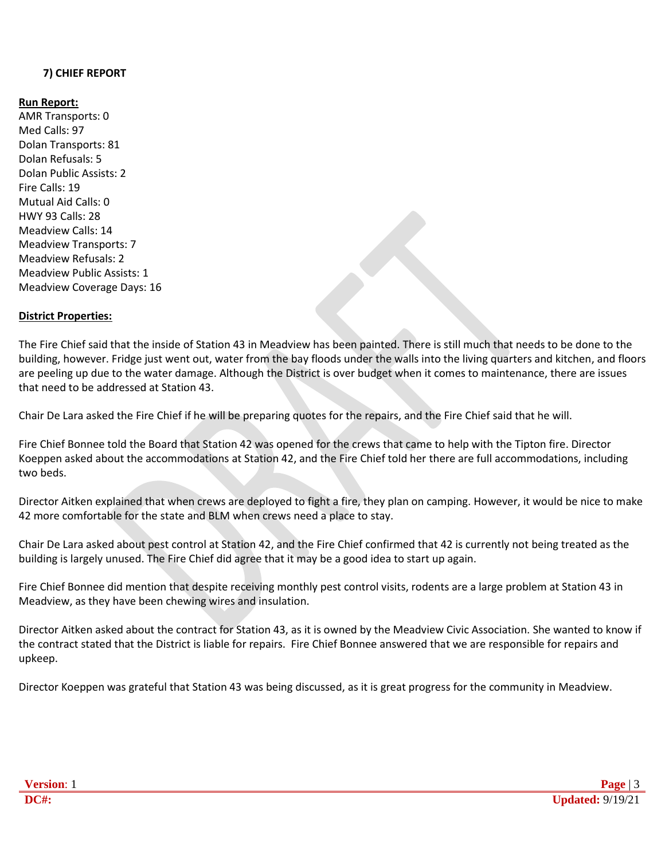## **7) CHIEF REPORT**

#### **Run Report:**

AMR Transports: 0 Med Calls: 97 Dolan Transports: 81 Dolan Refusals: 5 Dolan Public Assists: 2 Fire Calls: 19 Mutual Aid Calls: 0 HWY 93 Calls: 28 Meadview Calls: 14 Meadview Transports: 7 Meadview Refusals: 2 Meadview Public Assists: 1 Meadview Coverage Days: 16

#### **District Properties:**

The Fire Chief said that the inside of Station 43 in Meadview has been painted. There is still much that needs to be done to the building, however. Fridge just went out, water from the bay floods under the walls into the living quarters and kitchen, and floors are peeling up due to the water damage. Although the District is over budget when it comes to maintenance, there are issues that need to be addressed at Station 43.

Chair De Lara asked the Fire Chief if he will be preparing quotes for the repairs, and the Fire Chief said that he will.

Fire Chief Bonnee told the Board that Station 42 was opened for the crews that came to help with the Tipton fire. Director Koeppen asked about the accommodations at Station 42, and the Fire Chief told her there are full accommodations, including two beds.

Director Aitken explained that when crews are deployed to fight a fire, they plan on camping. However, it would be nice to make 42 more comfortable for the state and BLM when crews need a place to stay.

Chair De Lara asked about pest control at Station 42, and the Fire Chief confirmed that 42 is currently not being treated as the building is largely unused. The Fire Chief did agree that it may be a good idea to start up again.

Fire Chief Bonnee did mention that despite receiving monthly pest control visits, rodents are a large problem at Station 43 in Meadview, as they have been chewing wires and insulation.

Director Aitken asked about the contract for Station 43, as it is owned by the Meadview Civic Association. She wanted to know if the contract stated that the District is liable for repairs. Fire Chief Bonnee answered that we are responsible for repairs and upkeep.

Director Koeppen was grateful that Station 43 was being discussed, as it is great progress for the community in Meadview.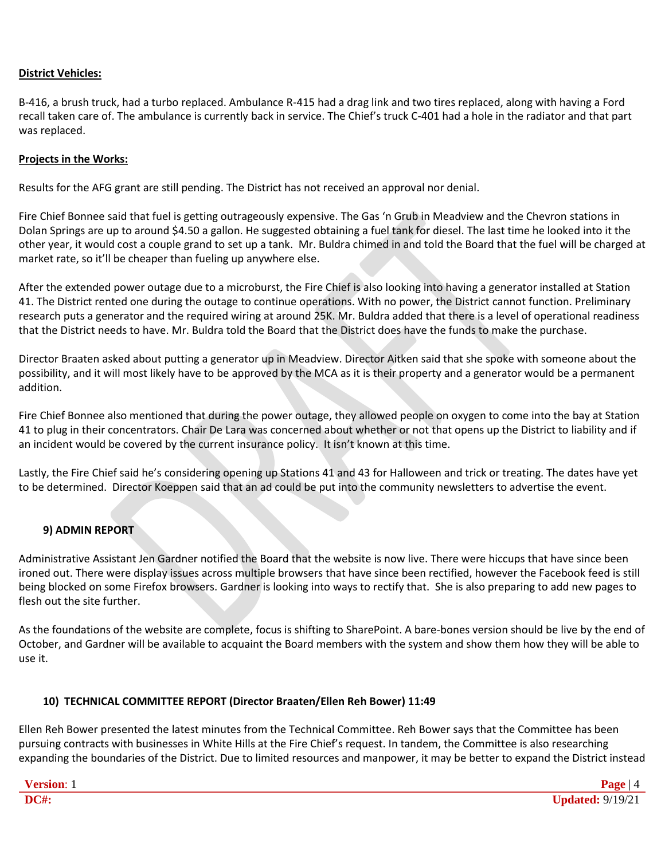#### **District Vehicles:**

B-416, a brush truck, had a turbo replaced. Ambulance R-415 had a drag link and two tires replaced, along with having a Ford recall taken care of. The ambulance is currently back in service. The Chief's truck C-401 had a hole in the radiator and that part was replaced.

#### **Projects in the Works:**

Results for the AFG grant are still pending. The District has not received an approval nor denial.

Fire Chief Bonnee said that fuel is getting outrageously expensive. The Gas 'n Grub in Meadview and the Chevron stations in Dolan Springs are up to around \$4.50 a gallon. He suggested obtaining a fuel tank for diesel. The last time he looked into it the other year, it would cost a couple grand to set up a tank. Mr. Buldra chimed in and told the Board that the fuel will be charged at market rate, so it'll be cheaper than fueling up anywhere else.

After the extended power outage due to a microburst, the Fire Chief is also looking into having a generator installed at Station 41. The District rented one during the outage to continue operations. With no power, the District cannot function. Preliminary research puts a generator and the required wiring at around 25K. Mr. Buldra added that there is a level of operational readiness that the District needs to have. Mr. Buldra told the Board that the District does have the funds to make the purchase.

Director Braaten asked about putting a generator up in Meadview. Director Aitken said that she spoke with someone about the possibility, and it will most likely have to be approved by the MCA as it is their property and a generator would be a permanent addition.

Fire Chief Bonnee also mentioned that during the power outage, they allowed people on oxygen to come into the bay at Station 41 to plug in their concentrators. Chair De Lara was concerned about whether or not that opens up the District to liability and if an incident would be covered by the current insurance policy. It isn't known at this time.

Lastly, the Fire Chief said he's considering opening up Stations 41 and 43 for Halloween and trick or treating. The dates have yet to be determined. Director Koeppen said that an ad could be put into the community newsletters to advertise the event.

## **9) ADMIN REPORT**

Administrative Assistant Jen Gardner notified the Board that the website is now live. There were hiccups that have since been ironed out. There were display issues across multiple browsers that have since been rectified, however the Facebook feed is still being blocked on some Firefox browsers. Gardner is looking into ways to rectify that. She is also preparing to add new pages to flesh out the site further.

As the foundations of the website are complete, focus is shifting to SharePoint. A bare-bones version should be live by the end of October, and Gardner will be available to acquaint the Board members with the system and show them how they will be able to use it.

#### **10) TECHNICAL COMMITTEE REPORT (Director Braaten/Ellen Reh Bower) 11:49**

Ellen Reh Bower presented the latest minutes from the Technical Committee. Reh Bower says that the Committee has been pursuing contracts with businesses in White Hills at the Fire Chief's request. In tandem, the Committee is also researching expanding the boundaries of the District. Due to limited resources and manpower, it may be better to expand the District instead

| <b>Version: 1</b> | ane                     |
|-------------------|-------------------------|
| <b>DC#:</b>       | <b>Updated: 9/19/21</b> |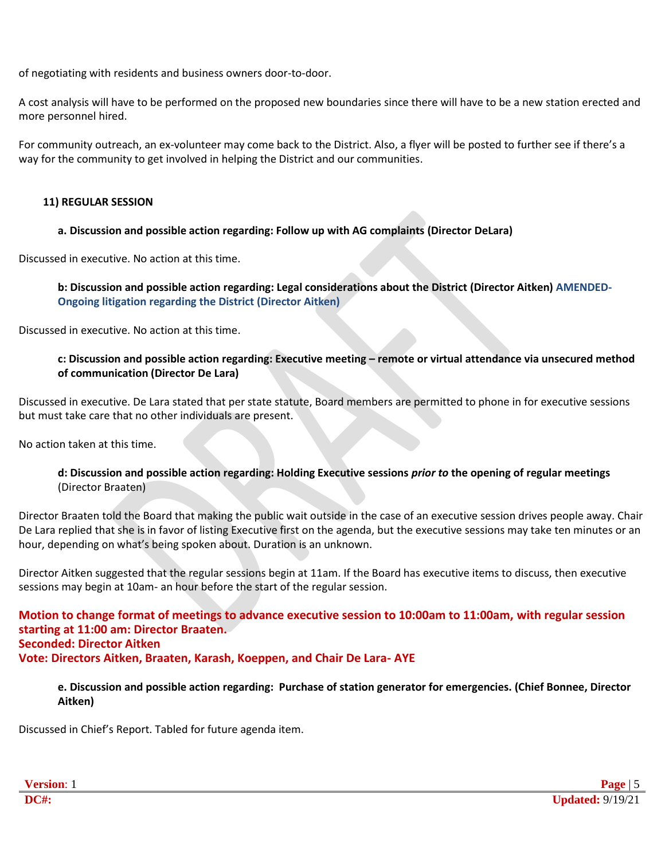of negotiating with residents and business owners door-to-door.

A cost analysis will have to be performed on the proposed new boundaries since there will have to be a new station erected and more personnel hired.

For community outreach, an ex-volunteer may come back to the District. Also, a flyer will be posted to further see if there's a way for the community to get involved in helping the District and our communities.

### **11) REGULAR SESSION**

## **a. Discussion and possible action regarding: Follow up with AG complaints (Director DeLara)**

Discussed in executive. No action at this time.

**b: Discussion and possible action regarding: Legal considerations about the District (Director Aitken) AMENDED-Ongoing litigation regarding the District (Director Aitken)**

Discussed in executive. No action at this time.

#### **c: Discussion and possible action regarding: Executive meeting – remote or virtual attendance via unsecured method of communication (Director De Lara)**

Discussed in executive. De Lara stated that per state statute, Board members are permitted to phone in for executive sessions but must take care that no other individuals are present.

No action taken at this time.

## **d: Discussion and possible action regarding: Holding Executive sessions** *prior to* **the opening of regular meetings** (Director Braaten)

Director Braaten told the Board that making the public wait outside in the case of an executive session drives people away. Chair De Lara replied that she is in favor of listing Executive first on the agenda, but the executive sessions may take ten minutes or an hour, depending on what's being spoken about. Duration is an unknown.

Director Aitken suggested that the regular sessions begin at 11am. If the Board has executive items to discuss, then executive sessions may begin at 10am- an hour before the start of the regular session.

**Motion to change format of meetings to advance executive session to 10:00am to 11:00am, with regular session starting at 11:00 am: Director Braaten. Seconded: Director Aitken Vote: Directors Aitken, Braaten, Karash, Koeppen, and Chair De Lara- AYE**

## **e. Discussion and possible action regarding: Purchase of station generator for emergencies. (Chief Bonnee, Director Aitken)**

Discussed in Chief's Report. Tabled for future agenda item.

| rsion:      | Jago<br>. .                                   |
|-------------|-----------------------------------------------|
| <b>DC#:</b> | 0.110B<br>$19/z$ .<br>pdated:<br>$\mathbf{u}$ |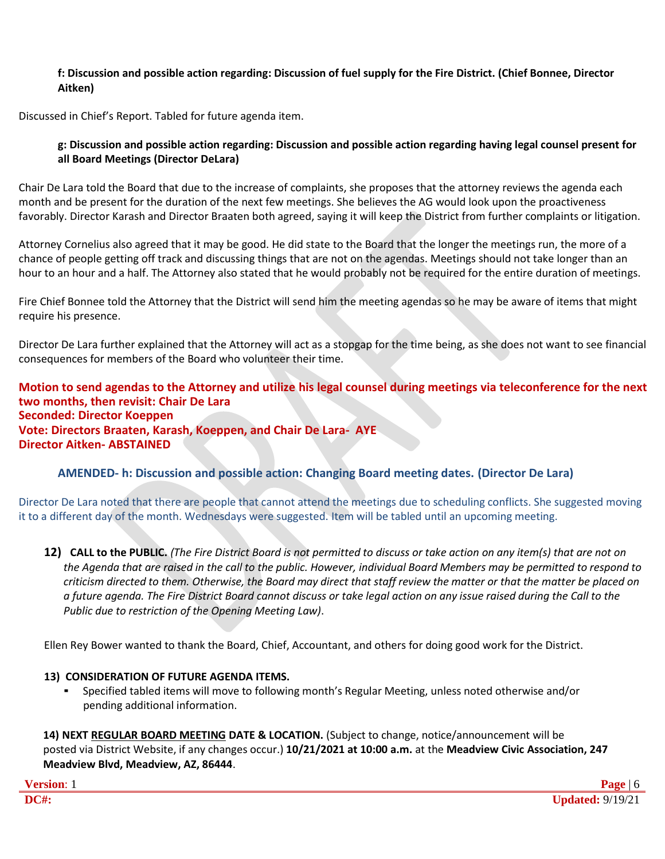## **f: Discussion and possible action regarding: Discussion of fuel supply for the Fire District. (Chief Bonnee, Director Aitken)**

Discussed in Chief's Report. Tabled for future agenda item.

#### **g: Discussion and possible action regarding: Discussion and possible action regarding having legal counsel present for all Board Meetings (Director DeLara)**

Chair De Lara told the Board that due to the increase of complaints, she proposes that the attorney reviews the agenda each month and be present for the duration of the next few meetings. She believes the AG would look upon the proactiveness favorably. Director Karash and Director Braaten both agreed, saying it will keep the District from further complaints or litigation.

Attorney Cornelius also agreed that it may be good. He did state to the Board that the longer the meetings run, the more of a chance of people getting off track and discussing things that are not on the agendas. Meetings should not take longer than an hour to an hour and a half. The Attorney also stated that he would probably not be required for the entire duration of meetings.

Fire Chief Bonnee told the Attorney that the District will send him the meeting agendas so he may be aware of items that might require his presence.

Director De Lara further explained that the Attorney will act as a stopgap for the time being, as she does not want to see financial consequences for members of the Board who volunteer their time.

**Motion to send agendas to the Attorney and utilize his legal counsel during meetings via teleconference for the next two months, then revisit: Chair De Lara Seconded: Director Koeppen Vote: Directors Braaten, Karash, Koeppen, and Chair De Lara- AYE Director Aitken- ABSTAINED**

## **AMENDED- h: Discussion and possible action: Changing Board meeting dates. (Director De Lara)**

Director De Lara noted that there are people that cannot attend the meetings due to scheduling conflicts. She suggested moving it to a different day of the month. Wednesdays were suggested. Item will be tabled until an upcoming meeting.

12) CALL to the PUBLIC. (The Fire District Board is not permitted to discuss or take action on any item(s) that are not on *the Agenda that are raised in the call to the public. However, individual Board Members may be permitted to respond to criticism directed to them. Otherwise, the Board may direct that staff review the matter or that the matter be placed on a future agenda. The Fire District Board cannot discuss or take legal action on any issue raised during the Call to the Public due to restriction of the Opening Meeting Law)*.

Ellen Rey Bower wanted to thank the Board, Chief, Accountant, and others for doing good work for the District.

#### **13) CONSIDERATION OF FUTURE AGENDA ITEMS.**

▪ Specified tabled items will move to following month's Regular Meeting, unless noted otherwise and/or pending additional information.

**14) NEXT REGULAR BOARD MEETING DATE & LOCATION.** (Subject to change, notice/announcement will be posted via District Website, if any changes occur.) **10/21/2021 at 10:00 a.m.** at the **Meadview Civic Association, 247 Meadview Blvd, Meadview, AZ, 86444**.